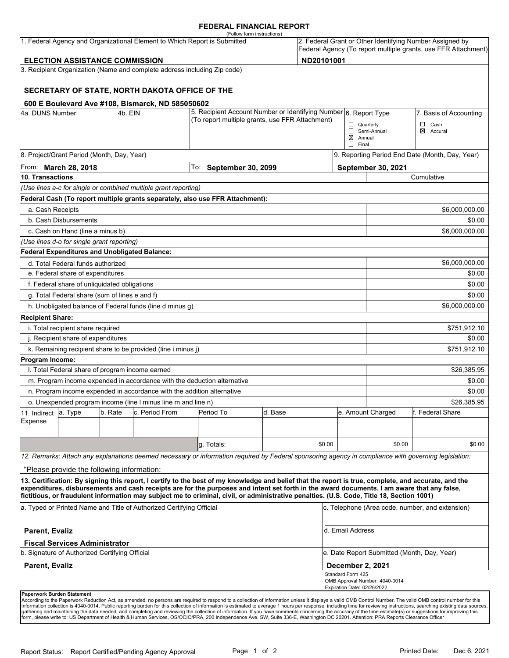### **FEDERAL FINANCIAL REPORT**

|                         | <b>ELECTION ASSISTANCE COMMISSION</b>                |         | 1. Federal Agency and Organizational Element to Which Report is Submitted | (Follow form instructions)                                                                                                                                                                                                                                                                                                                                                                                                                      |         | ND20101001 |                                                  |                                             | 2. Federal Grant or Other Identifying Number Assigned by<br>Federal Agency (To report multiple grants, use FFR Attachment) |
|-------------------------|------------------------------------------------------|---------|---------------------------------------------------------------------------|-------------------------------------------------------------------------------------------------------------------------------------------------------------------------------------------------------------------------------------------------------------------------------------------------------------------------------------------------------------------------------------------------------------------------------------------------|---------|------------|--------------------------------------------------|---------------------------------------------|----------------------------------------------------------------------------------------------------------------------------|
|                         |                                                      |         | 3. Recipient Organization (Name and complete address including Zip code)  |                                                                                                                                                                                                                                                                                                                                                                                                                                                 |         |            |                                                  |                                             |                                                                                                                            |
|                         |                                                      |         |                                                                           |                                                                                                                                                                                                                                                                                                                                                                                                                                                 |         |            |                                                  |                                             |                                                                                                                            |
|                         |                                                      |         | SECRETARY OF STATE, NORTH DAKOTA OFFICE OF THE                            |                                                                                                                                                                                                                                                                                                                                                                                                                                                 |         |            |                                                  |                                             |                                                                                                                            |
|                         |                                                      |         | 600 E Boulevard Ave #108, Bismarck, ND 585050602                          |                                                                                                                                                                                                                                                                                                                                                                                                                                                 |         |            |                                                  |                                             |                                                                                                                            |
| 4a. DUNS Number         |                                                      | 4b. EIN |                                                                           | 5. Recipient Account Number or Identifying Number 6. Report Type                                                                                                                                                                                                                                                                                                                                                                                |         |            |                                                  |                                             | 7. Basis of Accounting                                                                                                     |
|                         |                                                      |         |                                                                           | (To report multiple grants, use FFR Attachment)                                                                                                                                                                                                                                                                                                                                                                                                 |         |            | $\Box$ Quarterly                                 |                                             | $\Box$<br>Cash                                                                                                             |
|                         |                                                      |         |                                                                           |                                                                                                                                                                                                                                                                                                                                                                                                                                                 |         |            | $\boxtimes$ Annual                               | Semi-Annual                                 | ⊠<br>Accural                                                                                                               |
|                         |                                                      |         |                                                                           |                                                                                                                                                                                                                                                                                                                                                                                                                                                 |         |            | $\Box$ Final                                     |                                             |                                                                                                                            |
|                         | 8. Project/Grant Period (Month, Day, Year)           |         |                                                                           |                                                                                                                                                                                                                                                                                                                                                                                                                                                 |         |            |                                                  |                                             | 9. Reporting Period End Date (Month, Day, Year)                                                                            |
|                         | From: <b>March 28, 2018</b>                          |         |                                                                           | To: September 30, 2099                                                                                                                                                                                                                                                                                                                                                                                                                          |         |            |                                                  | September 30, 2021                          |                                                                                                                            |
| 10. Transactions        |                                                      |         |                                                                           |                                                                                                                                                                                                                                                                                                                                                                                                                                                 |         |            |                                                  |                                             | Cumulative                                                                                                                 |
|                         |                                                      |         | (Use lines a-c for single or combined multiple grant reporting)           |                                                                                                                                                                                                                                                                                                                                                                                                                                                 |         |            |                                                  |                                             |                                                                                                                            |
|                         |                                                      |         |                                                                           | Federal Cash (To report multiple grants separately, also use FFR Attachment):                                                                                                                                                                                                                                                                                                                                                                   |         |            |                                                  |                                             |                                                                                                                            |
| a. Cash Receipts        |                                                      |         |                                                                           |                                                                                                                                                                                                                                                                                                                                                                                                                                                 |         |            |                                                  |                                             | \$6,000,000.00                                                                                                             |
|                         | b. Cash Disbursements                                |         |                                                                           |                                                                                                                                                                                                                                                                                                                                                                                                                                                 |         |            |                                                  |                                             | \$0.00                                                                                                                     |
|                         | c. Cash on Hand (line a minus b)                     |         |                                                                           |                                                                                                                                                                                                                                                                                                                                                                                                                                                 |         |            |                                                  |                                             | \$6,000,000.00                                                                                                             |
|                         | (Use lines d-o for single grant reporting)           |         |                                                                           |                                                                                                                                                                                                                                                                                                                                                                                                                                                 |         |            |                                                  |                                             |                                                                                                                            |
|                         | <b>Federal Expenditures and Unobligated Balance:</b> |         |                                                                           |                                                                                                                                                                                                                                                                                                                                                                                                                                                 |         |            |                                                  |                                             |                                                                                                                            |
|                         | d. Total Federal funds authorized                    |         |                                                                           |                                                                                                                                                                                                                                                                                                                                                                                                                                                 |         |            |                                                  |                                             | \$6,000,000.00                                                                                                             |
|                         | e. Federal share of expenditures                     |         |                                                                           |                                                                                                                                                                                                                                                                                                                                                                                                                                                 |         |            |                                                  |                                             | \$0.00                                                                                                                     |
|                         | f. Federal share of unliquidated obligations         |         |                                                                           |                                                                                                                                                                                                                                                                                                                                                                                                                                                 |         |            |                                                  |                                             | \$0.00                                                                                                                     |
|                         | g. Total Federal share (sum of lines e and f)        |         |                                                                           |                                                                                                                                                                                                                                                                                                                                                                                                                                                 |         |            |                                                  |                                             | \$0.00                                                                                                                     |
|                         |                                                      |         | h. Unobligated balance of Federal funds (line d minus g)                  |                                                                                                                                                                                                                                                                                                                                                                                                                                                 |         |            |                                                  |                                             | \$6,000,000.00                                                                                                             |
| <b>Recipient Share:</b> |                                                      |         |                                                                           |                                                                                                                                                                                                                                                                                                                                                                                                                                                 |         |            |                                                  |                                             |                                                                                                                            |
|                         | i. Total recipient share required                    |         |                                                                           |                                                                                                                                                                                                                                                                                                                                                                                                                                                 |         |            |                                                  |                                             | \$751,912.10                                                                                                               |
|                         | j. Recipient share of expenditures                   |         |                                                                           |                                                                                                                                                                                                                                                                                                                                                                                                                                                 |         |            |                                                  |                                             | \$0.00                                                                                                                     |
|                         |                                                      |         | k. Remaining recipient share to be provided (line i minus j)              |                                                                                                                                                                                                                                                                                                                                                                                                                                                 |         |            |                                                  |                                             | \$751,912.10                                                                                                               |
| Program Income:         |                                                      |         |                                                                           |                                                                                                                                                                                                                                                                                                                                                                                                                                                 |         |            |                                                  |                                             |                                                                                                                            |
|                         | I. Total Federal share of program income earned      |         |                                                                           |                                                                                                                                                                                                                                                                                                                                                                                                                                                 |         |            |                                                  |                                             | \$26,385.95                                                                                                                |
|                         |                                                      |         |                                                                           | m. Program income expended in accordance with the deduction alternative                                                                                                                                                                                                                                                                                                                                                                         |         |            |                                                  |                                             | \$0.00                                                                                                                     |
|                         |                                                      |         | n. Program income expended in accordance with the addition alternative    |                                                                                                                                                                                                                                                                                                                                                                                                                                                 |         |            |                                                  |                                             | \$0.00                                                                                                                     |
|                         |                                                      |         | o. Unexpended program income (line I minus line m and line n)             |                                                                                                                                                                                                                                                                                                                                                                                                                                                 |         |            |                                                  |                                             | \$26.385.95                                                                                                                |
| 11. Indirect            | a. Type                                              | b. Rate | c. Period From                                                            | Period To                                                                                                                                                                                                                                                                                                                                                                                                                                       | d. Base |            | e. Amount Charged                                |                                             | f. Federal Share                                                                                                           |
| Expense                 |                                                      |         |                                                                           |                                                                                                                                                                                                                                                                                                                                                                                                                                                 |         |            |                                                  |                                             |                                                                                                                            |
|                         |                                                      |         |                                                                           |                                                                                                                                                                                                                                                                                                                                                                                                                                                 |         |            |                                                  |                                             |                                                                                                                            |
|                         |                                                      |         |                                                                           | g. Totals:                                                                                                                                                                                                                                                                                                                                                                                                                                      |         | \$0.00     |                                                  | \$0.00                                      | \$0.00                                                                                                                     |
|                         |                                                      |         |                                                                           | 12. Remarks: Attach any explanations deemed necessary or information required by Federal sponsoring agency in compliance with governing legislation:                                                                                                                                                                                                                                                                                            |         |            |                                                  |                                             |                                                                                                                            |
|                         | "Please provide the following information:           |         |                                                                           |                                                                                                                                                                                                                                                                                                                                                                                                                                                 |         |            |                                                  |                                             |                                                                                                                            |
|                         |                                                      |         |                                                                           | 13. Certification: By signing this report, I certify to the best of my knowledge and belief that the report is true, complete, and accurate, and the<br>expenditures, disbursements and cash receipts are for the purposes and intent set forth in the award documents. I am aware that any false,<br>fictitious, or fraudulent information may subject me to criminal, civil, or administrative penalties. (U.S. Code, Title 18, Section 1001) |         |            |                                                  |                                             |                                                                                                                            |
|                         |                                                      |         | a. Typed or Printed Name and Title of Authorized Certifying Official      |                                                                                                                                                                                                                                                                                                                                                                                                                                                 |         |            |                                                  |                                             | c. Telephone (Area code, number, and extension)                                                                            |
| <b>Parent, Evaliz</b>   |                                                      |         |                                                                           |                                                                                                                                                                                                                                                                                                                                                                                                                                                 |         |            | d. Email Address                                 |                                             |                                                                                                                            |
|                         | <b>Fiscal Services Administrator</b>                 |         |                                                                           |                                                                                                                                                                                                                                                                                                                                                                                                                                                 |         |            |                                                  |                                             |                                                                                                                            |
|                         | b. Signature of Authorized Certifying Official       |         |                                                                           |                                                                                                                                                                                                                                                                                                                                                                                                                                                 |         |            |                                                  | e. Date Report Submitted (Month, Day, Year) |                                                                                                                            |
| <b>Parent, Evaliz</b>   |                                                      |         |                                                                           |                                                                                                                                                                                                                                                                                                                                                                                                                                                 |         |            | December 2, 2021                                 |                                             |                                                                                                                            |
|                         |                                                      |         |                                                                           |                                                                                                                                                                                                                                                                                                                                                                                                                                                 |         |            | Standard Form 425<br>Expiration Date: 02/28/2022 | OMB Approval Number: 4040-0014              |                                                                                                                            |
|                         | Paperwork Burden Statement                           |         |                                                                           |                                                                                                                                                                                                                                                                                                                                                                                                                                                 |         |            |                                                  |                                             |                                                                                                                            |

According to the Paperwork Reduction Act, as amended, no persons are required to respond to a collection of information unless it displays a valid OMB Control Number. The valid OMB control number for this<br>information colle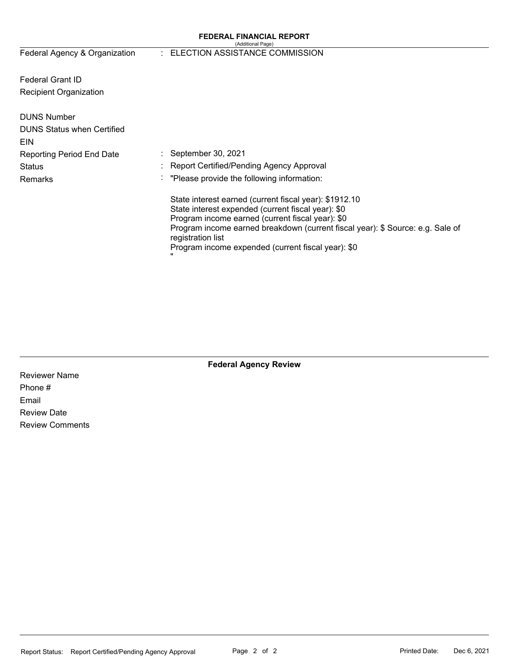### **FEDERAL FINANCIAL REPORT**  (Additional Page)

Federal Agency & Organization

### : ELECTION ASSISTANCE COMMISSION

Federal Grant ID Recipient Organization

| <b>DUNS Number</b><br><b>DUNS Status when Certified</b><br>EIN |                                                                                                                                                                                                                                                                                                                               |
|----------------------------------------------------------------|-------------------------------------------------------------------------------------------------------------------------------------------------------------------------------------------------------------------------------------------------------------------------------------------------------------------------------|
| <b>Reporting Period End Date</b>                               | $\therefore$ September 30, 2021                                                                                                                                                                                                                                                                                               |
| <b>Status</b>                                                  | : Report Certified/Pending Agency Approval                                                                                                                                                                                                                                                                                    |
| Remarks                                                        | : "Please provide the following information:                                                                                                                                                                                                                                                                                  |
|                                                                | State interest earned (current fiscal year): \$1912.10<br>State interest expended (current fiscal year): \$0<br>Program income earned (current fiscal year): \$0<br>Program income earned breakdown (current fiscal year): \$ Source: e.g. Sale of<br>registration list<br>Program income expended (current fiscal year): \$0 |

Reviewer Name Phone # Email Review Date Review Comments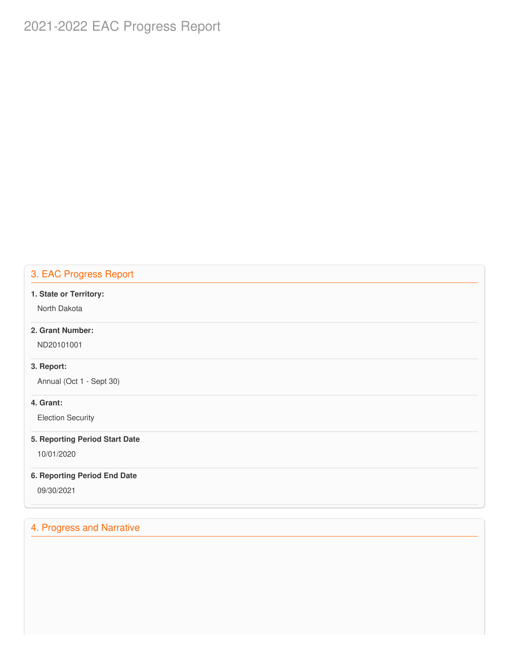# 2021-2022 EAC Progress Report 2022<br>CProgress 2021-2022 EAC Progress Report<br>
3. EAC Progress Report<br>
1. State or Territory:<br>
North Dakota<br>
2. Grant Number:<br>
ND20101001<br>
3. Report:<br>
Annual (Oct 1 - Sept 30)<br>
4. Grant:<br>
Election Security<br>
5. Reporting Period Start Date<br>

### 3. EAC Progress Report

### **1. State or Territory:**

North Dakota

### **2. Grant Number:**

ND20101001

### **3. Report:**

Annual (Oct 1 - Sept 30)

### **4. Grant:**

(Oct<br>:<br>n Set<br>**ting** Election Security

### **5. Reporting Period Start Date**

10/01/2020

### **6. Reporting Period End Date**

09/30/2021

### 4. Progress and Narrative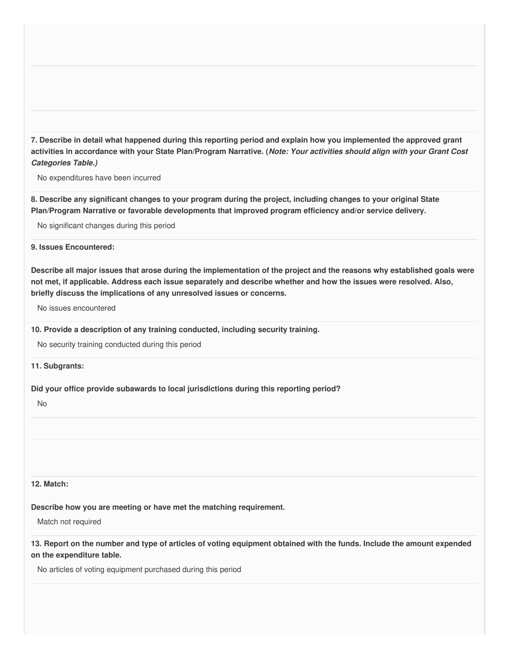7. Describe in detail what happened during this reporting period and explain how you implemented the approved grant activities in accordance with your State Plan/Program Narrative. (*Note: Your activities should align with your Grant Cost* **Example:**<br>Tribe:<br>The Strip of Strip Strip Strip Strip Strip Strip Strip Strip Strip Strip Strip Strip Strip Strip Strip Strip Strip Strip Strip Strip Strip Strip Strip Strip Strip Strip Strip Strip Strip Strip Strip Strip in accor<br>
es Table.<br>
enditures<br>
be any si *Categories Table.)*

No expenditures have been incurred

8. Describe any significant changes to your program during the project, including changes to your original State  **Plan/Program Narrative or favorable developments that improved program efficiency and/or service delivery.**

No significant changes during this period

 **9. Issues Encountered:**

Describe all major issues that arose during the implementation of the project and the reasons why established goals were not met, if applicable. Address each issue separately and describe whether and how the issues were resolved. Also,  **briefly discuss the implications of any unresolved issues or concerns.** n/Program<br>
o significant<br>
ssues Enco<br>
scribe all m<br>
met, if app<br>
o issues en<br>
Provide a o

No issues encountered

 **10. Provide a description of any training conducted, including security training.**

No security training conducted during this period

**11. Subgrants:**

 **Did your office provide subawards to local jurisdictions during this reporting period?** o securif<br>Subgra<br>your of<br>o<br>Match:<br>scribe h<br>atch not<br>Report

No

### **12. Match:**

 **Describe how you are meeting or have met the matching requirement.**

Match not required

13. Report on the number and type of articles of voting equipment obtained with the funds. Include the amount expended  **on the expenditure table.**

 No articles of voting equipment purchased during this periodthe<br> $\frac{1}{2}$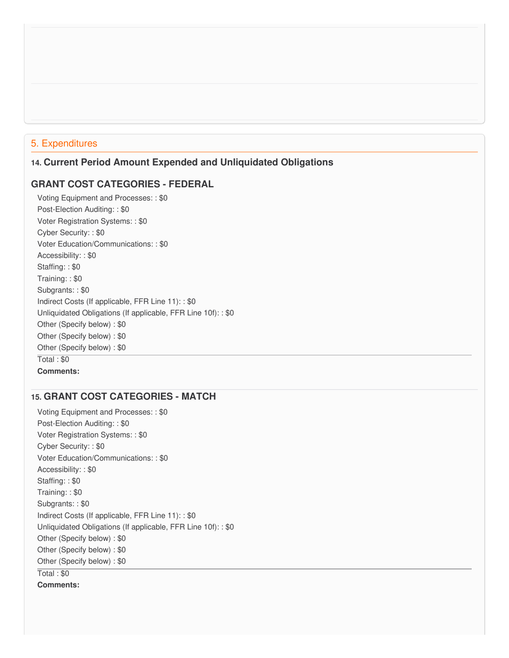### 5. Expenditures

### **GRANT COST CATEGORIES - FEDERAL**

 **14. Current Period Amount Expended and Unliquidated Obligations<br>
GRANT COST CATEGORIES - FEDERAL<br>
Voting Equipment and Processes: : \$0<br>
Post-Election Auditing: : \$0**  Voting Equipment and Processes: : \$0 Post-Election Auditing: : \$0 Voter Registration Systems: : \$0 Cyber Security: : \$0 Voter Education/Communications: : \$0 Accessibility: : \$0 Staffing: : \$0 Training: : \$0 Subgrants: : \$0 Indirect Costs (If applicable, FFR Line 11): : \$0 Unliquidated Obligations (If applicable, FFR Line 10f): : \$0 Other (Specify below) : \$0 Other (Specify below) : \$0 Other (Specify below) : \$0 Total : \$0 Registration Systems: : \$0<br>
Security: : \$0<br>
Education/Communications:<br>
sibility: : \$0<br>
ng: : \$0<br>
ants: : \$0<br>
ants: : \$0<br>
ct Costs (If applicable, FFR L<br>
iidated Obligations (If applica r (Specif<sub>)</sub><br>r (Specif<sub>)</sub><br>: \$0<br>**ments:<br>RANT (**<br>g Equipn<br>Election 5. Expenditures<br>
14. Current Peri<br>
GRANT COST<br>
Voting Equipment<br>
Post-Election Aud<br>
Voter Registratior<br>
Cyber Security: : : \$0<br>
Staffing: : \$0<br>
Staffing: : \$0<br>
Staffing: : \$0<br>
Staffing: : \$0<br>
Indirect Costs (If a<br>
Unliquid **Comments:**

### **15. GRANT COST CATEGORIES - MATCH**

 Voting Equipment and Processes: : \$0 Post-Election Auditing: : \$0 Voter Registration Systems: : \$0 Cyber Security: : \$0 Voter Education/Communications: : \$0 Accessibility: : \$0 Staffing: : \$0 Training: : \$0 Subgrants: : \$0 Indirect Costs (If applicable, FFR Line 11): : \$0 Unliquidated Obligations (If applicable, FFR Line 10f): : \$0 Other (Specify below) : \$0 Other (Specify below) : \$0 Other (Specify below) : \$0 Registration Systems: : \$0<br>
Security: : \$0<br>
Education/Communications:<br>
sibility: : \$0<br>
ng: : \$0<br>
ants: : \$0<br>
ants: : \$0<br>
ct Costs (If applicable, FFR L<br>
iidated Obligations (If applica

Total : \$0

**Comments:**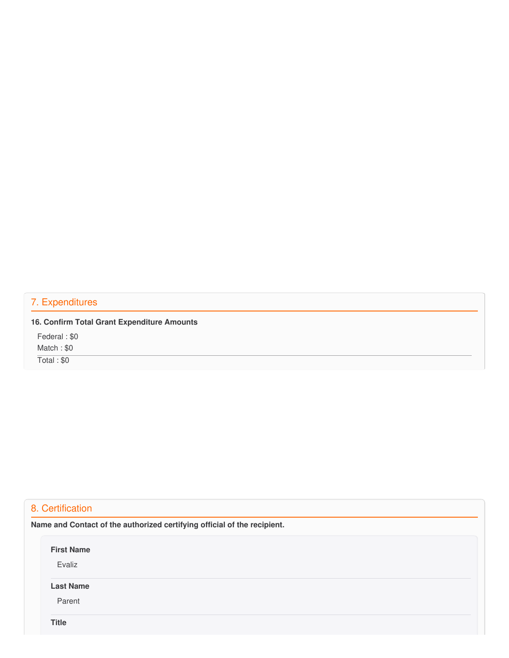## Expendi<br>Confirm 7. Expenditures

|              |  | 16. Confirm Total Grant Expenditure Amounts |  |
|--------------|--|---------------------------------------------|--|
| Federal: \$0 |  |                                             |  |

 Match : \$0 eral :<br>ch : \$<br>il : \$0<br>**ertifice**<br>and

Total : \$0

## 8. Certification

 **Name and Contact of the authorized certifying official of the recipient.**

**First Name**

Evaliz

### **Last Name**

Parent

**Title**